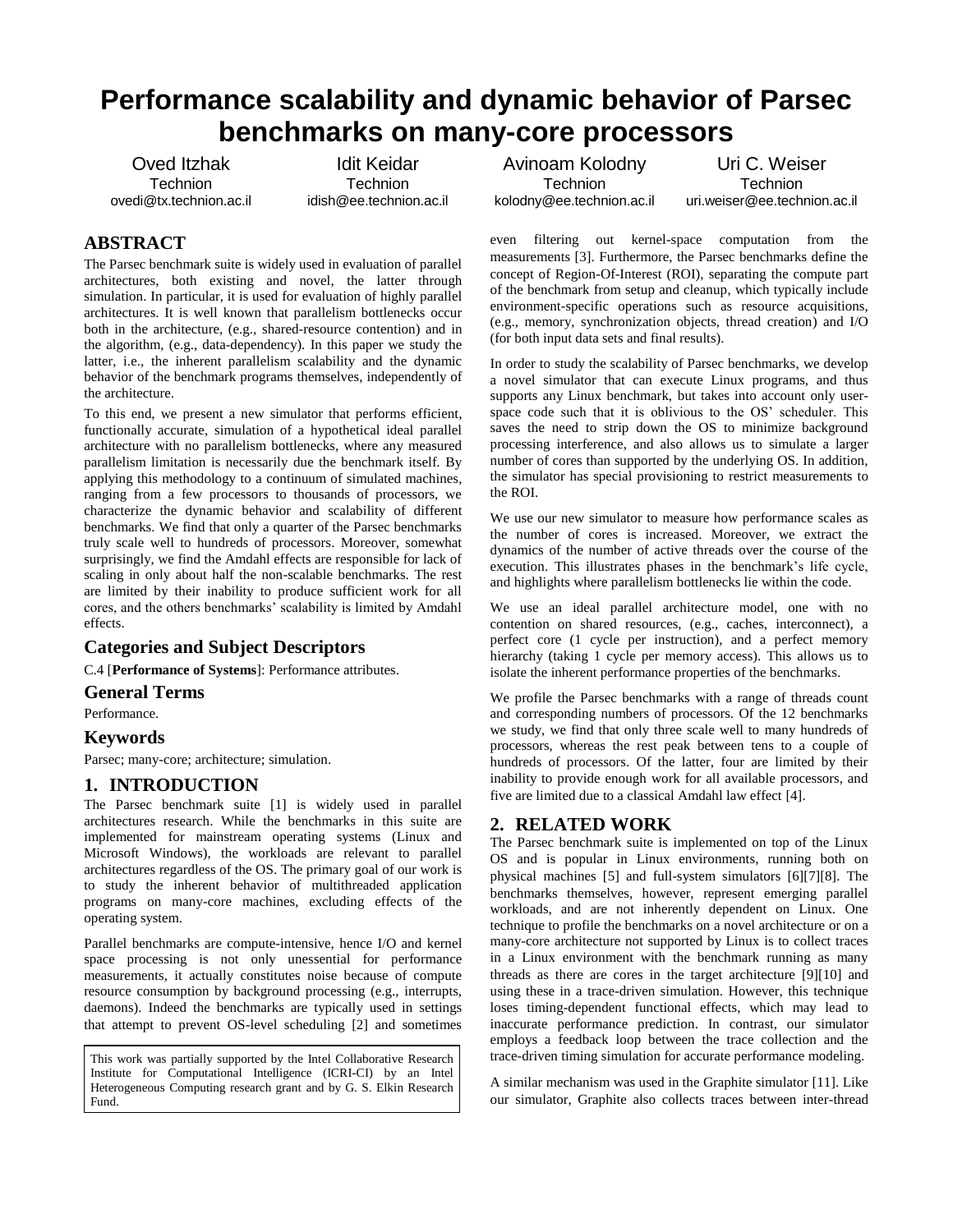# **Performance scalability and dynamic behavior of Parsec benchmarks on many-core processors**

Oved Itzhak **Technion** ovedi@tx.technion.ac.il

Idit Keidar **Technion** idish@ee.technion.ac.il

Avinoam Kolodny **Technion** kolodny@ee.technion.ac.il

Uri C. Weiser **Technion** uri.weiser@ee.technion.ac.il

# **ABSTRACT**

The Parsec benchmark suite is widely used in evaluation of parallel architectures, both existing and novel, the latter through simulation. In particular, it is used for evaluation of highly parallel architectures. It is well known that parallelism bottlenecks occur both in the architecture, (e.g., shared-resource contention) and in the algorithm, (e.g., data-dependency). In this paper we study the latter, i.e., the inherent parallelism scalability and the dynamic behavior of the benchmark programs themselves, independently of the architecture.

To this end, we present a new simulator that performs efficient, functionally accurate, simulation of a hypothetical ideal parallel architecture with no parallelism bottlenecks, where any measured parallelism limitation is necessarily due the benchmark itself. By applying this methodology to a continuum of simulated machines, ranging from a few processors to thousands of processors, we characterize the dynamic behavior and scalability of different benchmarks. We find that only a quarter of the Parsec benchmarks truly scale well to hundreds of processors. Moreover, somewhat surprisingly, we find the Amdahl effects are responsible for lack of scaling in only about half the non-scalable benchmarks. The rest are limited by their inability to produce sufficient work for all cores, and the others benchmarks' scalability is limited by Amdahl effects.

# **Categories and Subject Descriptors**

C.4 [**Performance of Systems**]: Performance attributes.

## **General Terms**

Performance.

## **Keywords**

Parsec; many-core; architecture; simulation.

# **1. INTRODUCTION**

The Parsec benchmark suite [\[1\]](#page-5-0) is widely used in parallel architectures research. While the benchmarks in this suite are implemented for mainstream operating systems (Linux and Microsoft Windows), the workloads are relevant to parallel architectures regardless of the OS. The primary goal of our work is to study the inherent behavior of multithreaded application programs on many-core machines, excluding effects of the operating system.

Parallel benchmarks are compute-intensive, hence I/O and kernel space processing is not only unessential for performance measurements, it actually constitutes noise because of compute resource consumption by background processing (e.g., interrupts, daemons). Indeed the benchmarks are typically used in settings that attempt to prevent OS-level scheduling [\[2\]](#page-5-1) and sometimes

This work was partially supported by the Intel Collaborative Research Institute for Computational Intelligence (ICRI-CI) by an Intel Heterogeneous Computing research grant and by G. S. Elkin Research Fund.

even filtering out kernel-space computation from the measurements [\[3\].](#page-5-2) Furthermore, the Parsec benchmarks define the concept of Region-Of-Interest (ROI), separating the compute part of the benchmark from setup and cleanup, which typically include environment-specific operations such as resource acquisitions, (e.g., memory, synchronization objects, thread creation) and I/O (for both input data sets and final results).

In order to study the scalability of Parsec benchmarks, we develop a novel simulator that can execute Linux programs, and thus supports any Linux benchmark, but takes into account only userspace code such that it is oblivious to the OS' scheduler. This saves the need to strip down the OS to minimize background processing interference, and also allows us to simulate a larger number of cores than supported by the underlying OS. In addition, the simulator has special provisioning to restrict measurements to the ROI.

We use our new simulator to measure how performance scales as the number of cores is increased. Moreover, we extract the dynamics of the number of active threads over the course of the execution. This illustrates phases in the benchmark's life cycle, and highlights where parallelism bottlenecks lie within the code.

We use an ideal parallel architecture model, one with no contention on shared resources, (e.g., caches, interconnect), a perfect core (1 cycle per instruction), and a perfect memory hierarchy (taking 1 cycle per memory access). This allows us to isolate the inherent performance properties of the benchmarks.

We profile the Parsec benchmarks with a range of threads count and corresponding numbers of processors. Of the 12 benchmarks we study, we find that only three scale well to many hundreds of processors, whereas the rest peak between tens to a couple of hundreds of processors. Of the latter, four are limited by their inability to provide enough work for all available processors, and five are limited due to a classical Amdahl law effect [\[4\].](#page-5-3)

# **2. RELATED WORK**

The Parsec benchmark suite is implemented on top of the Linux OS and is popular in Linux environments, running both on physical machines [\[5\]](#page-5-4) and full-system simulators [\[6\]\[7\]](#page-5-5)[\[8\].](#page-5-6) The benchmarks themselves, however, represent emerging parallel workloads, and are not inherently dependent on Linux. One technique to profile the benchmarks on a novel architecture or on a many-core architecture not supported by Linux is to collect traces in a Linux environment with the benchmark running as many threads as there are cores in the target architecture [\[9\]\[10\]](#page-5-7) and using these in a trace-driven simulation. However, this technique loses timing-dependent functional effects, which may lead to inaccurate performance prediction. In contrast, our simulator employs a feedback loop between the trace collection and the trace-driven timing simulation for accurate performance modeling.

A similar mechanism was used in the Graphite simulator [\[11\].](#page-5-8) Like our simulator, Graphite also collects traces between inter-thread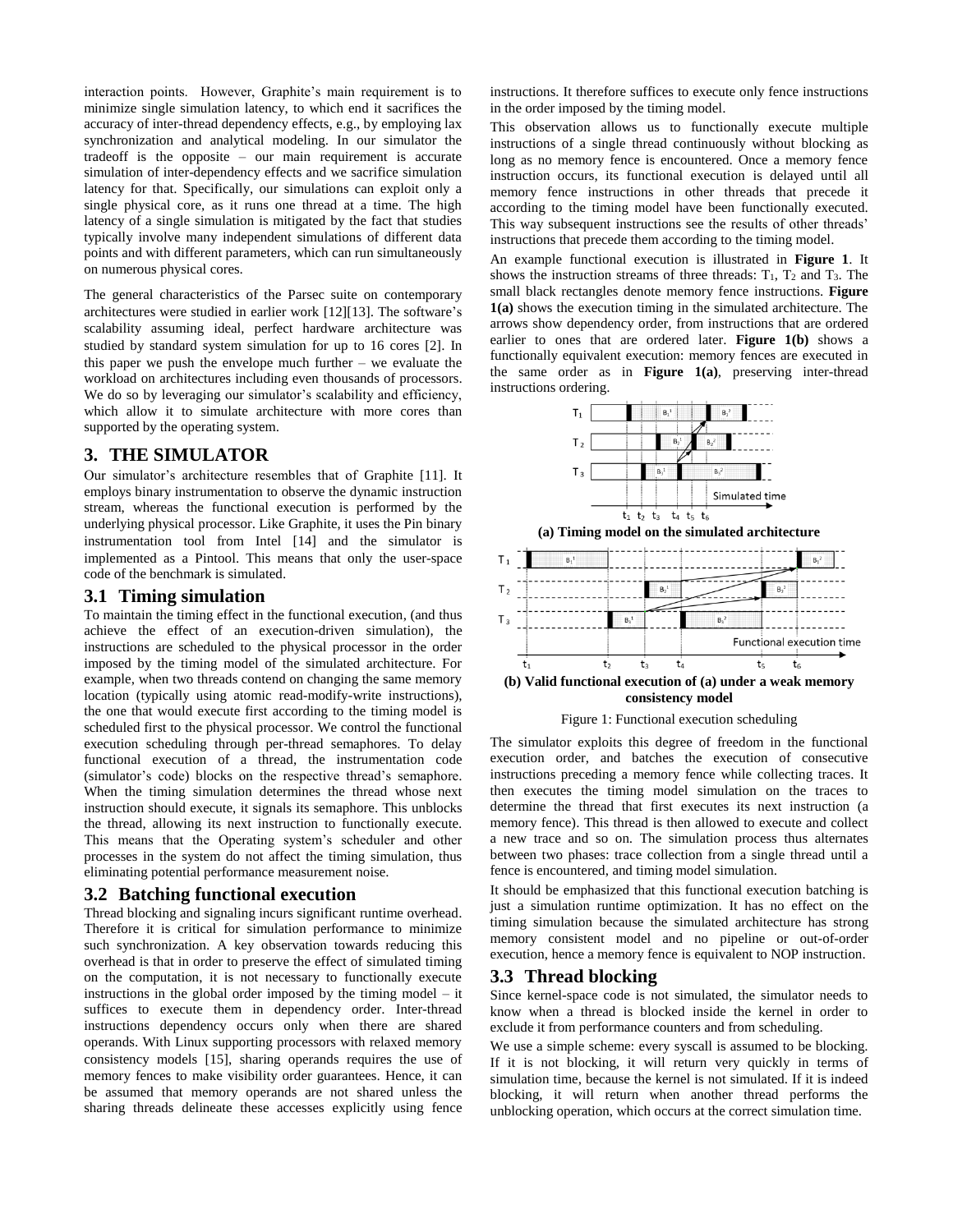interaction points. However, Graphite's main requirement is to minimize single simulation latency, to which end it sacrifices the accuracy of inter-thread dependency effects, e.g., by employing lax synchronization and analytical modeling. In our simulator the tradeoff is the opposite – our main requirement is accurate simulation of inter-dependency effects and we sacrifice simulation latency for that. Specifically, our simulations can exploit only a single physical core, as it runs one thread at a time. The high latency of a single simulation is mitigated by the fact that studies typically involve many independent simulations of different data points and with different parameters, which can run simultaneously on numerous physical cores.

The general characteristics of the Parsec suite on contemporary architectures were studied in earlier work [\[12\]\[13\].](#page-5-9) The software's scalability assuming ideal, perfect hardware architecture was studied by standard system simulation for up to 16 cores [\[2\].](#page-5-1) In this paper we push the envelope much further – we evaluate the workload on architectures including even thousands of processors. We do so by leveraging our simulator's scalability and efficiency, which allow it to simulate architecture with more cores than supported by the operating system.

#### **3. THE SIMULATOR**

Our simulator's architecture resembles that of Graphite [\[11\].](#page-5-8) It employs binary instrumentation to observe the dynamic instruction stream, whereas the functional execution is performed by the underlying physical processor. Like Graphite, it uses the Pin binary instrumentation tool from Intel [\[14\]](#page-5-10) and the simulator is implemented as a Pintool. This means that only the user-space code of the benchmark is simulated.

#### **3.1 Timing simulation**

To maintain the timing effect in the functional execution, (and thus achieve the effect of an execution-driven simulation), the instructions are scheduled to the physical processor in the order imposed by the timing model of the simulated architecture. For example, when two threads contend on changing the same memory location (typically using atomic read-modify-write instructions), the one that would execute first according to the timing model is scheduled first to the physical processor. We control the functional execution scheduling through per-thread semaphores. To delay functional execution of a thread, the instrumentation code (simulator's code) blocks on the respective thread's semaphore. When the timing simulation determines the thread whose next instruction should execute, it signals its semaphore. This unblocks the thread, allowing its next instruction to functionally execute. This means that the Operating system's scheduler and other processes in the system do not affect the timing simulation, thus eliminating potential performance measurement noise.

## **3.2 Batching functional execution**

Thread blocking and signaling incurs significant runtime overhead. Therefore it is critical for simulation performance to minimize such synchronization. A key observation towards reducing this overhead is that in order to preserve the effect of simulated timing on the computation, it is not necessary to functionally execute instructions in the global order imposed by the timing model – it suffices to execute them in dependency order. Inter-thread instructions dependency occurs only when there are shared operands. With Linux supporting processors with relaxed memory consistency models [\[15\],](#page-5-11) sharing operands requires the use of memory fences to make visibility order guarantees. Hence, it can be assumed that memory operands are not shared unless the sharing threads delineate these accesses explicitly using fence instructions. It therefore suffices to execute only fence instructions in the order imposed by the timing model.

This observation allows us to functionally execute multiple instructions of a single thread continuously without blocking as long as no memory fence is encountered. Once a memory fence instruction occurs, its functional execution is delayed until all memory fence instructions in other threads that precede it according to the timing model have been functionally executed. This way subsequent instructions see the results of other threads' instructions that precede them according to the timing model.

An example functional execution is illustrated in **[Figure 1](#page-1-0)**. It shows the instruction streams of three threads:  $T_1$ ,  $T_2$  and  $T_3$ . The small black rectangles denote memory fence instructions. **[Figure](#page-1-0)  [1](#page-1-0)[\(a\)](#page-1-1)** shows the execution timing in the simulated architecture. The arrows show dependency order, from instructions that are ordered earlier to ones that are ordered later. **[Figure 1\(b\)](#page-1-0)** shows a functionally equivalent execution: memory fences are executed in the same order as in **[Figure 1\(a\)](#page-1-0)**, preserving inter-thread instructions ordering.

<span id="page-1-1"></span>



<span id="page-1-0"></span>The simulator exploits this degree of freedom in the functional execution order, and batches the execution of consecutive instructions preceding a memory fence while collecting traces. It then executes the timing model simulation on the traces to determine the thread that first executes its next instruction (a memory fence). This thread is then allowed to execute and collect a new trace and so on. The simulation process thus alternates between two phases: trace collection from a single thread until a fence is encountered, and timing model simulation.

It should be emphasized that this functional execution batching is just a simulation runtime optimization. It has no effect on the timing simulation because the simulated architecture has strong memory consistent model and no pipeline or out-of-order execution, hence a memory fence is equivalent to NOP instruction.

#### **3.3 Thread blocking**

Since kernel-space code is not simulated, the simulator needs to know when a thread is blocked inside the kernel in order to exclude it from performance counters and from scheduling.

We use a simple scheme: every syscall is assumed to be blocking. If it is not blocking, it will return very quickly in terms of simulation time, because the kernel is not simulated. If it is indeed blocking, it will return when another thread performs the unblocking operation, which occurs at the correct simulation time.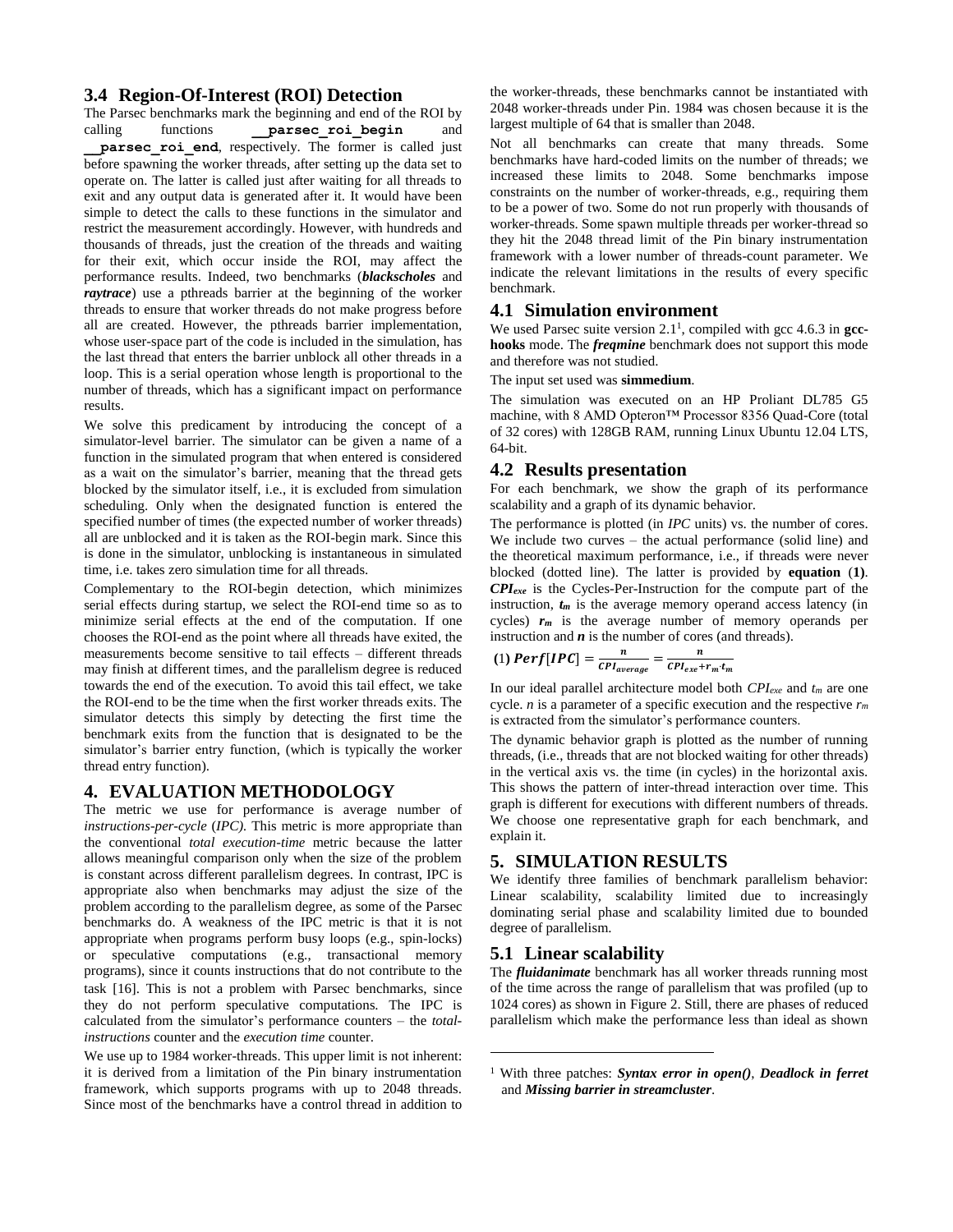### <span id="page-2-2"></span>**3.4 Region-Of-Interest (ROI) Detection**

The Parsec benchmarks mark the beginning and end of the ROI by calling functions **\_\_parsec\_roi\_begin** and **\_\_parsec\_roi\_end**, respectively. The former is called just before spawning the worker threads, after setting up the data set to operate on. The latter is called just after waiting for all threads to exit and any output data is generated after it. It would have been simple to detect the calls to these functions in the simulator and restrict the measurement accordingly. However, with hundreds and thousands of threads, just the creation of the threads and waiting for their exit, which occur inside the ROI, may affect the performance results. Indeed, two benchmarks (*blackscholes* and *raytrace*) use a pthreads barrier at the beginning of the worker threads to ensure that worker threads do not make progress before all are created. However, the pthreads barrier implementation, whose user-space part of the code is included in the simulation, has the last thread that enters the barrier unblock all other threads in a loop. This is a serial operation whose length is proportional to the number of threads, which has a significant impact on performance results.

We solve this predicament by introducing the concept of a simulator-level barrier. The simulator can be given a name of a function in the simulated program that when entered is considered as a wait on the simulator's barrier, meaning that the thread gets blocked by the simulator itself, i.e., it is excluded from simulation scheduling. Only when the designated function is entered the specified number of times (the expected number of worker threads) all are unblocked and it is taken as the ROI-begin mark. Since this is done in the simulator, unblocking is instantaneous in simulated time, i.e. takes zero simulation time for all threads.

Complementary to the ROI-begin detection, which minimizes serial effects during startup, we select the ROI-end time so as to minimize serial effects at the end of the computation. If one chooses the ROI-end as the point where all threads have exited, the measurements become sensitive to tail effects – different threads may finish at different times, and the parallelism degree is reduced towards the end of the execution. To avoid this tail effect, we take the ROI-end to be the time when the first worker threads exits. The simulator detects this simply by detecting the first time the benchmark exits from the function that is designated to be the simulator's barrier entry function, (which is typically the worker thread entry function).

## **4. EVALUATION METHODOLOGY**

The metric we use for performance is average number of *instructions-per-cycle* (*IPC).* This metric is more appropriate than the conventional *total execution-time* metric because the latter allows meaningful comparison only when the size of the problem is constant across different parallelism degrees. In contrast, IPC is appropriate also when benchmarks may adjust the size of the problem according to the parallelism degree, as some of the Parsec benchmarks do. A weakness of the IPC metric is that it is not appropriate when programs perform busy loops (e.g., spin-locks) or speculative computations (e.g., transactional memory programs), since it counts instructions that do not contribute to the task [\[16\].](#page-5-12) This is not a problem with Parsec benchmarks, since they do not perform speculative computations. The IPC is calculated from the simulator's performance counters – the *totalinstructions* counter and the *execution time* counter.

We use up to 1984 worker-threads. This upper limit is not inherent: it is derived from a limitation of the Pin binary instrumentation framework, which supports programs with up to 2048 threads. Since most of the benchmarks have a control thread in addition to the worker-threads, these benchmarks cannot be instantiated with 2048 worker-threads under Pin. 1984 was chosen because it is the largest multiple of 64 that is smaller than 2048.

Not all benchmarks can create that many threads. Some benchmarks have hard-coded limits on the number of threads; we increased these limits to 2048. Some benchmarks impose constraints on the number of worker-threads, e.g., requiring them to be a power of two. Some do not run properly with thousands of worker-threads. Some spawn multiple threads per worker-thread so they hit the 2048 thread limit of the Pin binary instrumentation framework with a lower number of threads-count parameter. We indicate the relevant limitations in the results of every specific benchmark.

### **4.1 Simulation environment**

We used Parsec suite version  $2.1<sup>1</sup>$ , compiled with gcc  $4.6.3$  in gcc**hooks** mode. The *freqmine* benchmark does not support this mode and therefore was not studied.

#### The input set used was **simmedium**.

The simulation was executed on an HP Proliant DL785 G5 machine, with 8 AMD Opteron™ Processor 8356 Quad-Core (total of 32 cores) with 128GB RAM, running Linux Ubuntu 12.04 LTS, 64-bit.

## **4.2 Results presentation**

For each benchmark, we show the graph of its performance scalability and a graph of its dynamic behavior.

The performance is plotted (in *IPC* units) vs. the number of cores. We include two curves – the actual performance (solid line) and the theoretical maximum performance, i.e., if threads were never blocked (dotted line). The latter is provided by **equation** (**[1\)](#page-2-0)**. *CPIexe* is the Cycles-Per-Instruction for the compute part of the instruction,  $t_m$  is the average memory operand access latency (in cycles) *r<sup>m</sup>* is the average number of memory operands per instruction and *n* is the number of cores (and threads).

<span id="page-2-0"></span>
$$
(1) Perf[IPC] = \frac{n}{c_{\text{Pl}_{average}} = \frac{n}{c_{\text{Pl}_{exe} + r_m \cdot t_m}}}
$$

In our ideal parallel architecture model both *CPIexe* and *t<sup>m</sup>* are one cycle. *n* is a parameter of a specific execution and the respective *r<sup>m</sup>* is extracted from the simulator's performance counters.

The dynamic behavior graph is plotted as the number of running threads, (i.e., threads that are not blocked waiting for other threads) in the vertical axis vs. the time (in cycles) in the horizontal axis. This shows the pattern of inter-thread interaction over time. This graph is different for executions with different numbers of threads. We choose one representative graph for each benchmark, and explain it.

# **5. SIMULATION RESULTS**

We identify three families of benchmark parallelism behavior: Linear scalability, scalability limited due to increasingly dominating serial phase and scalability limited due to bounded degree of parallelism.

# <span id="page-2-1"></span>**5.1 Linear scalability**

l

The *fluidanimate* benchmark has all worker threads running most of the time across the range of parallelism that was profiled (up to 1024 cores) as shown in [Figure 2.](#page-3-0) Still, there are phases of reduced parallelism which make the performance less than ideal as shown

<sup>1</sup> With three patches: *Syntax error in open()*, *Deadlock in ferret* and *Missing barrier in streamcluster*.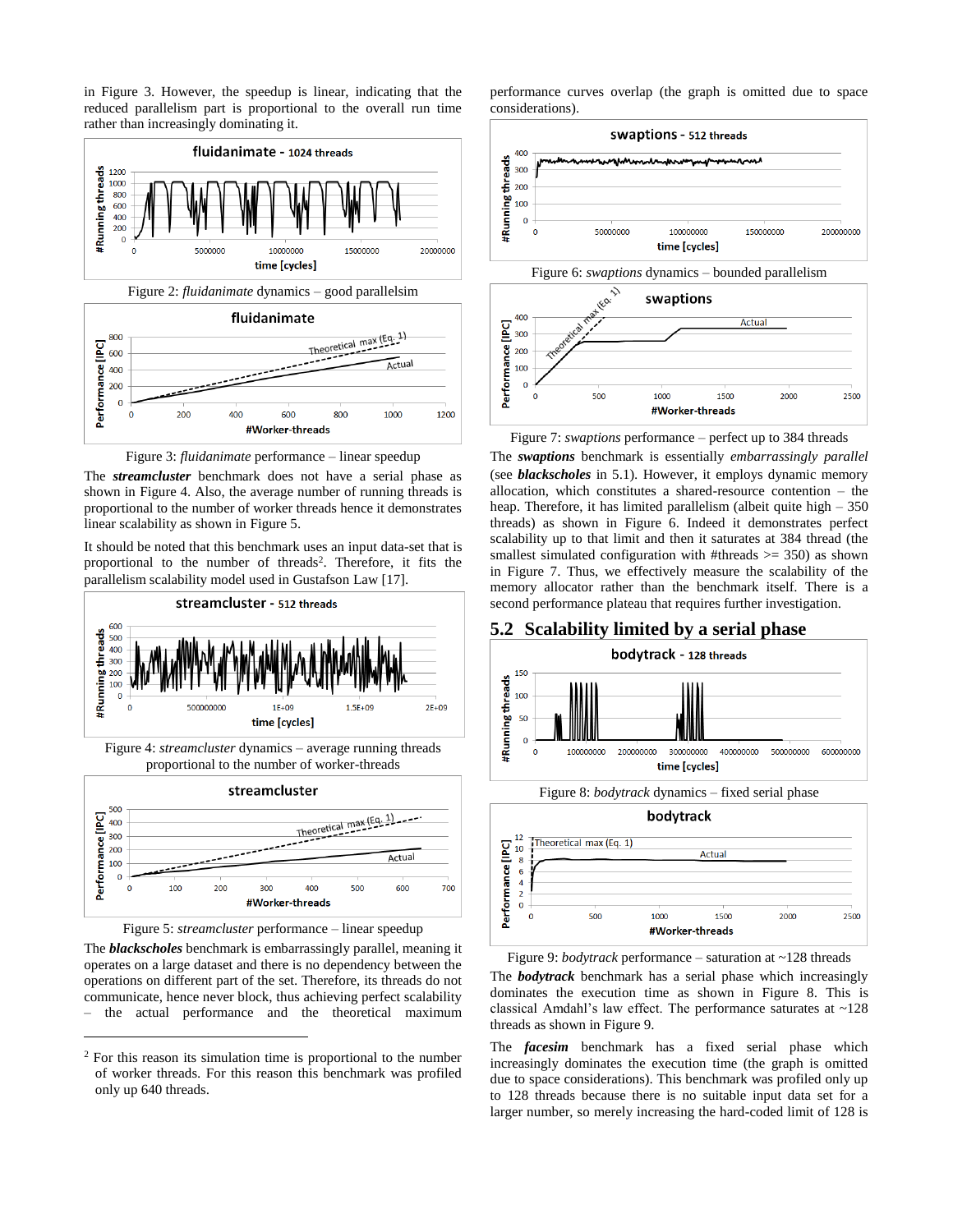in [Figure 3.](#page-3-1) However, the speedup is linear, indicating that the reduced parallelism part is proportional to the overall run time rather than increasingly dominating it.

<span id="page-3-0"></span>

Figure 3: *fluidanimate* performance – linear speedup

<span id="page-3-1"></span>The *streamcluster* benchmark does not have a serial phase as shown in [Figure 4.](#page-3-2) Also, the average number of running threads is proportional to the number of worker threads hence it demonstrates linear scalability as shown in [Figure 5.](#page-3-3)

It should be noted that this benchmark uses an input data-set that is proportional to the number of threads<sup>2</sup>. Therefore, it fits the parallelism scalability model used in Gustafson La[w \[17\].](#page-5-13)



<span id="page-3-2"></span>Figure 4: *streamcluster* dynamics – average running threads proportional to the number of worker-threads





<span id="page-3-3"></span>The *blackscholes* benchmark is embarrassingly parallel, meaning it operates on a large dataset and there is no dependency between the operations on different part of the set. Therefore, its threads do not communicate, hence never block, thus achieving perfect scalability – the actual performance and the theoretical maximum

 $\overline{a}$ 

performance curves overlap (the graph is omitted due to space considerations).



<span id="page-3-4"></span>

<span id="page-3-5"></span>Figure 7: *swaptions* performance – perfect up to 384 threads The *swaptions* benchmark is essentially *embarrassingly parallel* (see *blackscholes* in [5.1\)](#page-2-1). However, it employs dynamic memory allocation, which constitutes a shared-resource contention – the heap. Therefore, it has limited parallelism (albeit quite high – 350 threads) as shown in [Figure 6.](#page-3-4) Indeed it demonstrates perfect scalability up to that limit and then it saturates at 384 thread (the smallest simulated configuration with #threads  $\ge$  = 350) as shown in [Figure 7.](#page-3-5) Thus, we effectively measure the scalability of the memory allocator rather than the benchmark itself. There is a second performance plateau that requires further investigation.

## **5.2 Scalability limited by a serial phase**

<span id="page-3-6"></span>

Figure 9: *bodytrack* performance – saturation at ~128 threads

<span id="page-3-7"></span>The *bodytrack* benchmark has a serial phase which increasingly dominates the execution time as shown in [Figure 8.](#page-3-6) This is classical Amdahl's law effect. The performance saturates at ~128 threads as shown in [Figure 9.](#page-3-7)

The *facesim* benchmark has a fixed serial phase which increasingly dominates the execution time (the graph is omitted due to space considerations). This benchmark was profiled only up to 128 threads because there is no suitable input data set for a larger number, so merely increasing the hard-coded limit of 128 is

<sup>2</sup> For this reason its simulation time is proportional to the number of worker threads. For this reason this benchmark was profiled only up 640 threads.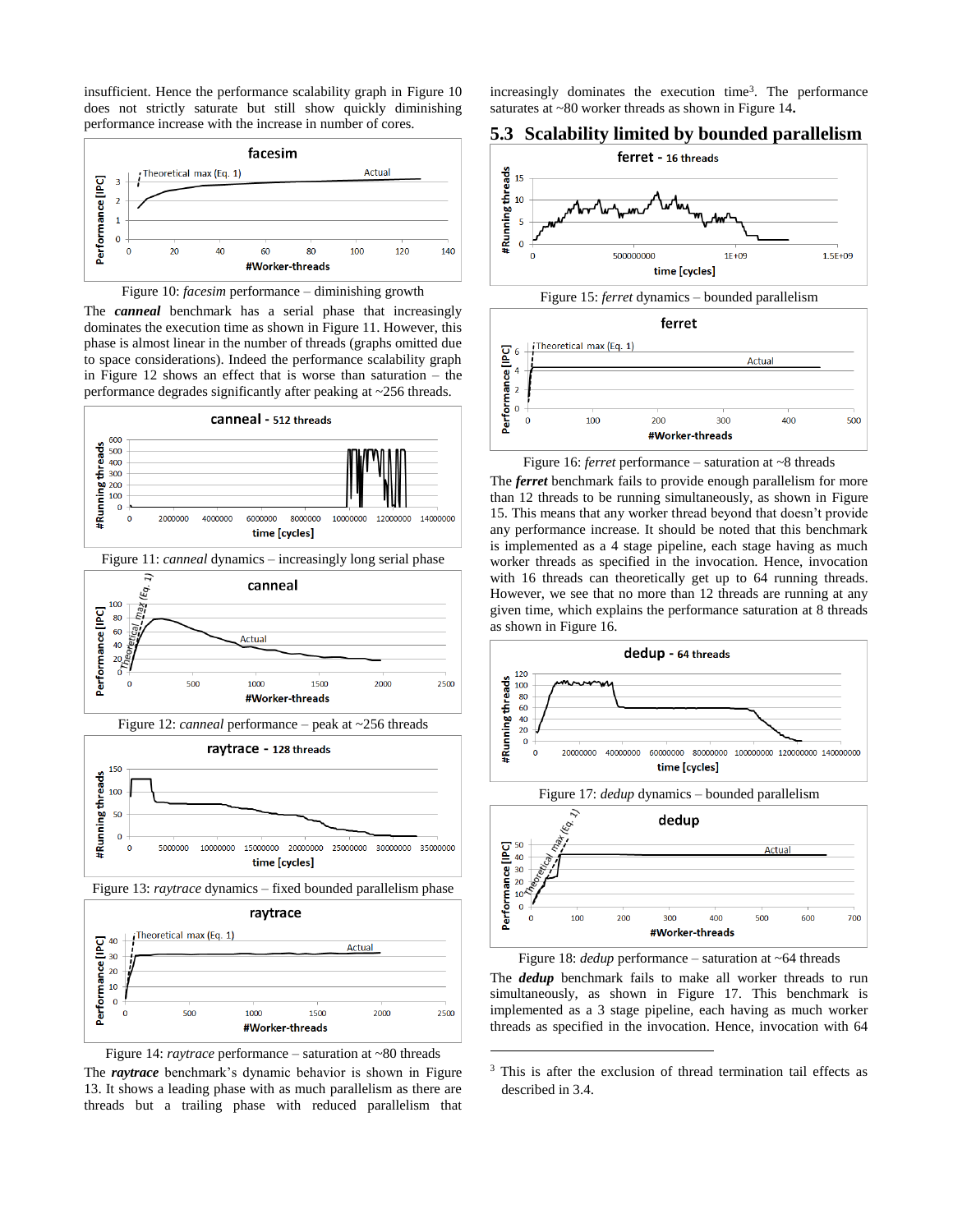insufficient. Hence the performance scalability graph in [Figure 10](#page-4-0) does not strictly saturate but still show quickly diminishing performance increase with the increase in number of cores.





<span id="page-4-0"></span>The *canneal* benchmark has a serial phase that increasingly dominates the execution time as shown in [Figure 11.](#page-4-1) However, this phase is almost linear in the number of threads (graphs omitted due to space considerations). Indeed the performance scalability graph in [Figure](#page-4-2) 12 shows an effect that is worse than saturation – the performance degrades significantly after peaking at ~256 threads.

<span id="page-4-2"></span><span id="page-4-1"></span>

<span id="page-4-4"></span><span id="page-4-3"></span>

increasingly dominates the execution time<sup>3</sup>. The performance saturates at ~80 worker threads as shown in [Figure 14](#page-4-4)**.**

## **5.3 Scalability limited by bounded parallelism**





<span id="page-4-5"></span>

Figure 16: *ferret* performance – saturation at ~8 threads

<span id="page-4-6"></span>The *ferret* benchmark fails to provide enough parallelism for more than 12 threads to be running simultaneously, as shown in [Figure](#page-4-5)  [15.](#page-4-5) This means that any worker thread beyond that doesn't provide any performance increase. It should be noted that this benchmark is implemented as a 4 stage pipeline, each stage having as much worker threads as specified in the invocation. Hence, invocation with 16 threads can theoretically get up to 64 running threads. However, we see that no more than 12 threads are running at any given time, which explains the performance saturation at 8 threads as shown in [Figure 16.](#page-4-6)

<span id="page-4-7"></span>

<span id="page-4-8"></span>The *dedup* benchmark fails to make all worker threads to run simultaneously, as shown in [Figure 17.](#page-4-7) This benchmark is implemented as a 3 stage pipeline, each having as much worker threads as specified in the invocation. Hence, invocation with 64

<sup>3</sup> This is after the exclusion of thread termination tail effects as described in [3.4.](#page-2-2)

l